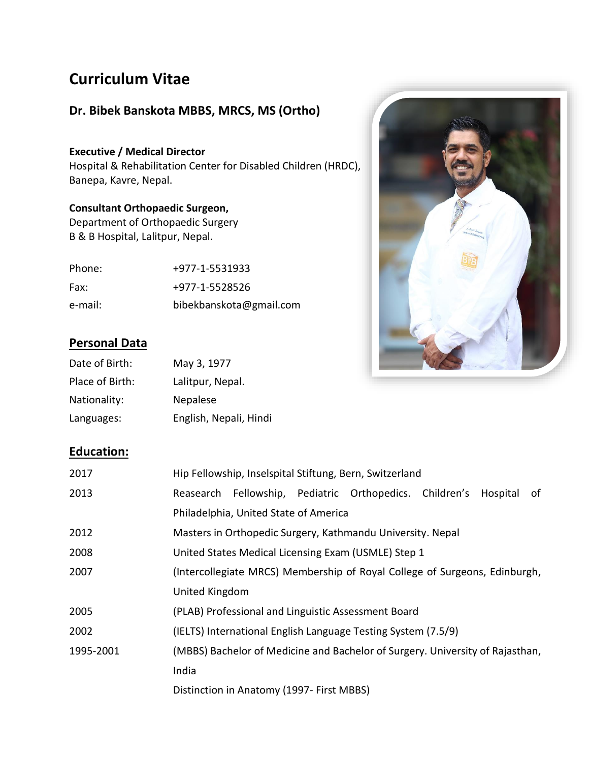# **Curriculum Vitae**

# **Dr. Bibek Banskota MBBS, MRCS, MS (Ortho)**

**Executive / Medical Director** Hospital & Rehabilitation Center for Disabled Children (HRDC), Banepa, Kavre, Nepal.

# **Consultant Orthopaedic Surgeon,**

Department of Orthopaedic Surgery B & B Hospital, Lalitpur, Nepal.

| Phone:  | +977-1-5531933          |
|---------|-------------------------|
| Fax:    | +977-1-5528526          |
| e-mail: | bibekbanskota@gmail.com |



# **Personal Data**

| Date of Birth:  | May 3, 1977            |
|-----------------|------------------------|
| Place of Birth: | Lalitpur, Nepal.       |
| Nationality:    | Nepalese               |
| Languages:      | English, Nepali, Hindi |

# **Education:**

| 2017      |                                                                            |                                           |  | Hip Fellowship, Inselspital Stiftung, Bern, Switzerland                       |  |          |    |
|-----------|----------------------------------------------------------------------------|-------------------------------------------|--|-------------------------------------------------------------------------------|--|----------|----|
| 2013      |                                                                            |                                           |  | Reasearch Fellowship, Pediatric Orthopedics. Children's                       |  | Hospital | of |
|           |                                                                            | Philadelphia, United State of America     |  |                                                                               |  |          |    |
| 2012      | Masters in Orthopedic Surgery, Kathmandu University. Nepal                 |                                           |  |                                                                               |  |          |    |
| 2008      | United States Medical Licensing Exam (USMLE) Step 1                        |                                           |  |                                                                               |  |          |    |
| 2007      | (Intercollegiate MRCS) Membership of Royal College of Surgeons, Edinburgh, |                                           |  |                                                                               |  |          |    |
|           | United Kingdom                                                             |                                           |  |                                                                               |  |          |    |
| 2005      |                                                                            |                                           |  | (PLAB) Professional and Linguistic Assessment Board                           |  |          |    |
| 2002      |                                                                            |                                           |  | (IELTS) International English Language Testing System (7.5/9)                 |  |          |    |
| 1995-2001 |                                                                            |                                           |  | (MBBS) Bachelor of Medicine and Bachelor of Surgery. University of Rajasthan, |  |          |    |
|           | India                                                                      |                                           |  |                                                                               |  |          |    |
|           |                                                                            | Distinction in Anatomy (1997- First MBBS) |  |                                                                               |  |          |    |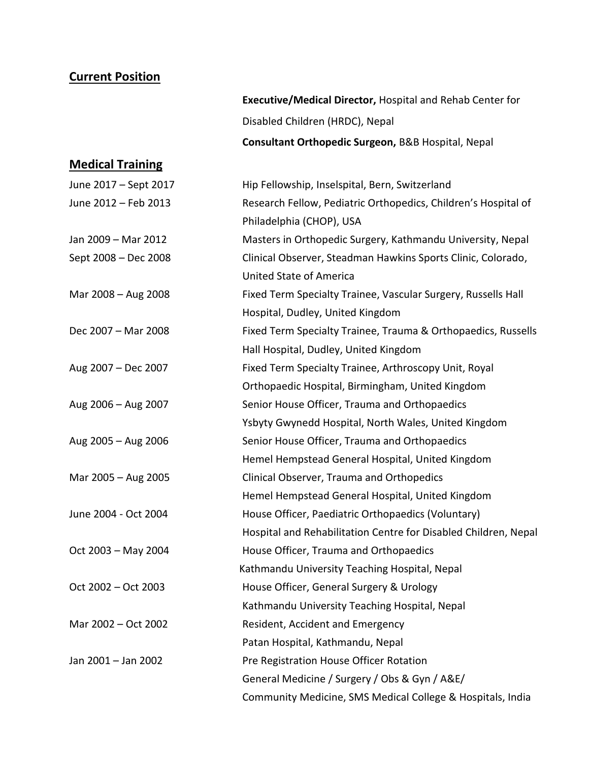## **Current Position**

**Executive/Medical Director,** Hospital and Rehab Center for Disabled Children (HRDC), Nepal **Consultant Orthopedic Surgeon,** B&B Hospital, Nepal

## **Medical Training**

| June 2017 - Sept 2017 | Hip Fellowship, Inselspital, Bern, Switzerland                  |
|-----------------------|-----------------------------------------------------------------|
| June 2012 - Feb 2013  | Research Fellow, Pediatric Orthopedics, Children's Hospital of  |
|                       | Philadelphia (CHOP), USA                                        |
| Jan 2009 - Mar 2012   | Masters in Orthopedic Surgery, Kathmandu University, Nepal      |
| Sept 2008 - Dec 2008  | Clinical Observer, Steadman Hawkins Sports Clinic, Colorado,    |
|                       | <b>United State of America</b>                                  |
| Mar 2008 - Aug 2008   | Fixed Term Specialty Trainee, Vascular Surgery, Russells Hall   |
|                       | Hospital, Dudley, United Kingdom                                |
| Dec 2007 - Mar 2008   | Fixed Term Specialty Trainee, Trauma & Orthopaedics, Russells   |
|                       | Hall Hospital, Dudley, United Kingdom                           |
| Aug 2007 - Dec 2007   | Fixed Term Specialty Trainee, Arthroscopy Unit, Royal           |
|                       | Orthopaedic Hospital, Birmingham, United Kingdom                |
| Aug 2006 - Aug 2007   | Senior House Officer, Trauma and Orthopaedics                   |
|                       | Ysbyty Gwynedd Hospital, North Wales, United Kingdom            |
| Aug 2005 - Aug 2006   | Senior House Officer, Trauma and Orthopaedics                   |
|                       | Hemel Hempstead General Hospital, United Kingdom                |
| Mar 2005 - Aug 2005   | Clinical Observer, Trauma and Orthopedics                       |
|                       | Hemel Hempstead General Hospital, United Kingdom                |
| June 2004 - Oct 2004  | House Officer, Paediatric Orthopaedics (Voluntary)              |
|                       | Hospital and Rehabilitation Centre for Disabled Children, Nepal |
| Oct 2003 - May 2004   | House Officer, Trauma and Orthopaedics                          |
|                       | Kathmandu University Teaching Hospital, Nepal                   |
| Oct 2002 - Oct 2003   | House Officer, General Surgery & Urology                        |
|                       | Kathmandu University Teaching Hospital, Nepal                   |
| Mar 2002 - Oct 2002   | Resident, Accident and Emergency                                |
|                       | Patan Hospital, Kathmandu, Nepal                                |
| Jan 2001 - Jan 2002   | Pre Registration House Officer Rotation                         |
|                       | General Medicine / Surgery / Obs & Gyn / A&E/                   |
|                       | Community Medicine, SMS Medical College & Hospitals, India      |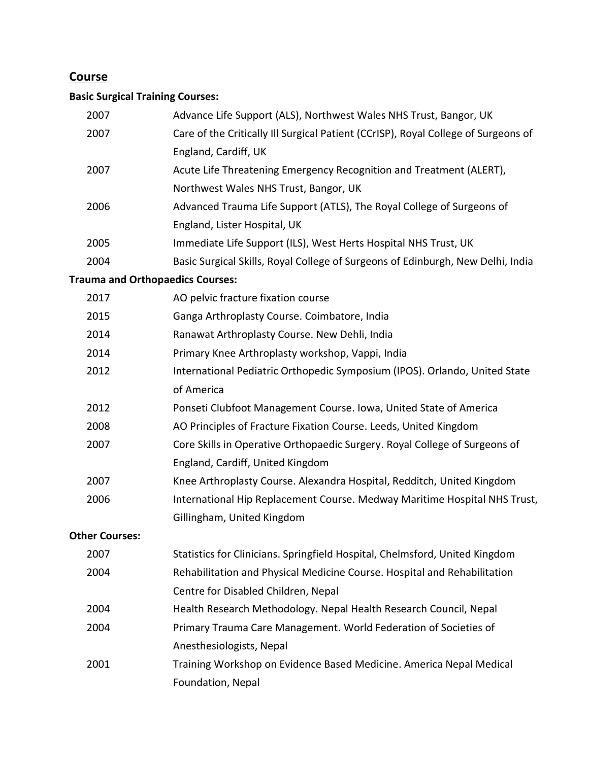# **Course**

# **Basic Surgical Training Courses:**

| 2007                  | Advance Life Support (ALS), Northwest Wales NHS Trust, Bangor, UK                  |
|-----------------------|------------------------------------------------------------------------------------|
| 2007                  | Care of the Critically III Surgical Patient (CCrISP), Royal College of Surgeons of |
|                       | England, Cardiff, UK                                                               |
| 2007                  | Acute Life Threatening Emergency Recognition and Treatment (ALERT),                |
|                       | Northwest Wales NHS Trust, Bangor, UK                                              |
| 2006                  | Advanced Trauma Life Support (ATLS), The Royal College of Surgeons of              |
|                       | England, Lister Hospital, UK                                                       |
| 2005                  | Immediate Life Support (ILS), West Herts Hospital NHS Trust, UK                    |
| 2004                  | Basic Surgical Skills, Royal College of Surgeons of Edinburgh, New Delhi, India    |
|                       | <b>Trauma and Orthopaedics Courses:</b>                                            |
| 2017                  | AO pelvic fracture fixation course                                                 |
| 2015                  | Ganga Arthroplasty Course. Coimbatore, India                                       |
| 2014                  | Ranawat Arthroplasty Course. New Dehli, India                                      |
| 2014                  | Primary Knee Arthroplasty workshop, Vappi, India                                   |
| 2012                  | International Pediatric Orthopedic Symposium (IPOS). Orlando, United State         |
|                       | of America                                                                         |
| 2012                  | Ponseti Clubfoot Management Course. Iowa, United State of America                  |
| 2008                  | AO Principles of Fracture Fixation Course. Leeds, United Kingdom                   |
| 2007                  | Core Skills in Operative Orthopaedic Surgery. Royal College of Surgeons of         |
|                       | England, Cardiff, United Kingdom                                                   |
| 2007                  | Knee Arthroplasty Course. Alexandra Hospital, Redditch, United Kingdom             |
| 2006                  | International Hip Replacement Course. Medway Maritime Hospital NHS Trust,          |
|                       | Gillingham, United Kingdom                                                         |
| <b>Other Courses:</b> |                                                                                    |
| 2007                  | Statistics for Clinicians. Springfield Hospital, Chelmsford, United Kingdom        |
| 2004                  | Rehabilitation and Physical Medicine Course. Hospital and Rehabilitation           |
|                       | Centre for Disabled Children, Nepal                                                |
| 2004                  | Health Research Methodology. Nepal Health Research Council, Nepal                  |
| 2004                  | Primary Trauma Care Management. World Federation of Societies of                   |
|                       | Anesthesiologists, Nepal                                                           |
| 2001                  | Training Workshop on Evidence Based Medicine. America Nepal Medical                |
|                       | Foundation, Nepal                                                                  |
|                       |                                                                                    |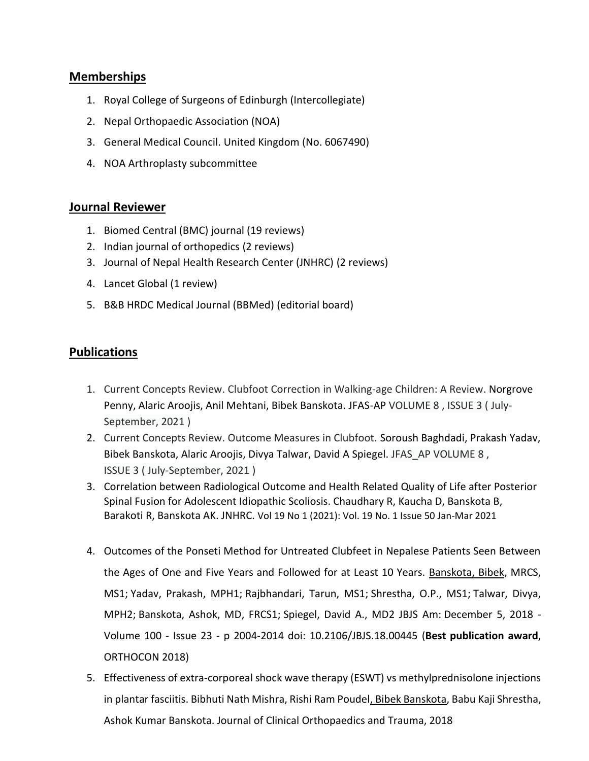### **Memberships**

- 1. Royal College of Surgeons of Edinburgh (Intercollegiate)
- 2. Nepal Orthopaedic Association (NOA)
- 3. General Medical Council. United Kingdom (No. 6067490)
- 4. NOA Arthroplasty subcommittee

### **Journal Reviewer**

- 1. Biomed Central (BMC) journal (19 reviews)
- 2. Indian journal of orthopedics (2 reviews)
- 3. Journal of Nepal Health Research Center (JNHRC) (2 reviews)
- 4. Lancet Global (1 review)
- 5. B&B HRDC Medical Journal (BBMed) (editorial board)

# **Publications**

- 1. Current Concepts Review. Clubfoot Correction in Walking-age Children: A Review. Norgrove Penny, Alaric Aroojis, Anil Mehtani, Bibek Banskota. JFAS-AP VOLUME 8 , ISSUE 3 ( July-September, 2021 )
- 2. Current Concepts Review. Outcome Measures in Clubfoot. Soroush Baghdadi, Prakash Yadav, Bibek Banskota, Alaric Aroojis, Divya Talwar, David A Spiegel. JFAS\_AP VOLUME 8 , ISSUE 3 ( July-September, 2021 )
- 3. Correlation between Radiological Outcome and Health Related Quality of Life after Posterior Spinal Fusion for Adolescent Idiopathic Scoliosis. Chaudhary R, Kaucha D, Banskota B, Barakoti R, Banskota AK. JNHRC. [Vol 19 No 1 \(2021\): Vol. 19 No. 1 Issue 50 Jan-Mar 2021](https://www.jnhrc.com.np/index.php/jnhrc/issue/view/52)
- 4. Outcomes of the Ponseti Method for Untreated Clubfeet in Nepalese Patients Seen Between the Ages of One and Five Years and Followed for at Least 10 Years. Banskota, Bibek, MRCS, MS1; Yadav, Prakash, MPH1; Rajbhandari, Tarun, MS1; Shrestha, O.P., MS1; Talwar, Divya, MPH2; Banskota, Ashok, MD, FRCS1; Spiegel, David A., MD2 JBJS Am: December 5, 2018 - Volume 100 - Issue 23 - p 2004-2014 doi: 10.2106/JBJS.18.00445 (**Best publication award**, ORTHOCON 2018)
- 5. Effectiveness of extra-corporeal shock wave therapy (ESWT) vs methylprednisolone injections in plantar fasciitis. Bibhuti Nath Mishra, Rishi Ram Poudel, Bibek Banskota, Babu Kaji Shrestha, Ashok Kumar Banskota. Journal of Clinical Orthopaedics and Trauma, 2018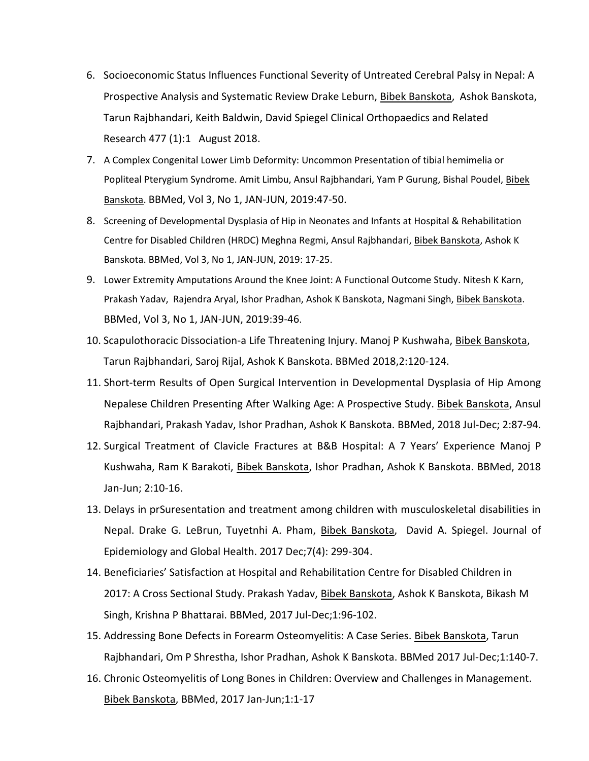- 6. Socioeconomic Status Influences Functional Severity of Untreated Cerebral Palsy in Nepal: A Prospective Analysis and Systematic Review Drake Leburn, Bibek Banskota, Ashok Banskota, Tarun Rajbhandari, Keith Baldwin, David Spiegel Clinical Orthopaedics and Related Research 477 (1):1 August 2018.
- 7. A Complex Congenital Lower Limb Deformity: Uncommon Presentation of tibial hemimelia or Popliteal Pterygium Syndrome. Amit Limbu, Ansul Rajbhandari, Yam P Gurung, Bishal Poudel, Bibek Banskota. BBMed, Vol 3, No 1, JAN-JUN, 2019:47-50.
- 8. Screening of Developmental Dysplasia of Hip in Neonates and Infants at Hospital & Rehabilitation Centre for Disabled Children (HRDC) Meghna Regmi, Ansul Rajbhandari, Bibek Banskota, Ashok K Banskota. BBMed, Vol 3, No 1, JAN-JUN, 2019: 17-25.
- 9. Lower Extremity Amputations Around the Knee Joint: A Functional Outcome Study. Nitesh K Karn, Prakash Yadav, Rajendra Aryal, Ishor Pradhan, Ashok K Banskota, Nagmani Singh, Bibek Banskota. BBMed, Vol 3, No 1, JAN-JUN, 2019:39-46.
- 10. Scapulothoracic Dissociation-a Life Threatening Injury. Manoj P Kushwaha, Bibek Banskota, Tarun Rajbhandari, Saroj Rijal, Ashok K Banskota. BBMed 2018,2:120-124.
- 11. Short-term Results of Open Surgical Intervention in Developmental Dysplasia of Hip Among Nepalese Children Presenting After Walking Age: A Prospective Study. Bibek Banskota, Ansul Rajbhandari, Prakash Yadav, Ishor Pradhan, Ashok K Banskota. BBMed, 2018 Jul-Dec; 2:87-94.
- 12. Surgical Treatment of Clavicle Fractures at B&B Hospital: A 7 Years' Experience Manoj P Kushwaha, Ram K Barakoti, Bibek Banskota, Ishor Pradhan, Ashok K Banskota. BBMed, 2018 Jan-Jun; 2:10-16.
- 13. Delays in prSuresentation and treatment among children with musculoskeletal disabilities in Nepal. Drake G. LeBrun, Tuyetnhi A. Pham, Bibek Banskota, David A. Spiegel. Journal of Epidemiology and Global Health. 2017 Dec;7(4): 299-304.
- 14. Beneficiaries' Satisfaction at Hospital and Rehabilitation Centre for Disabled Children in 2017: A Cross Sectional Study. Prakash Yadav, Bibek Banskota, Ashok K Banskota, Bikash M Singh, Krishna P Bhattarai. BBMed, 2017 Jul-Dec;1:96-102.
- 15. Addressing Bone Defects in Forearm Osteomyelitis: A Case Series. Bibek Banskota, Tarun Rajbhandari, Om P Shrestha, Ishor Pradhan, Ashok K Banskota. BBMed 2017 Jul-Dec;1:140-7.
- 16. Chronic Osteomyelitis of Long Bones in Children: Overview and Challenges in Management. Bibek Banskota, BBMed, 2017 Jan-Jun;1:1-17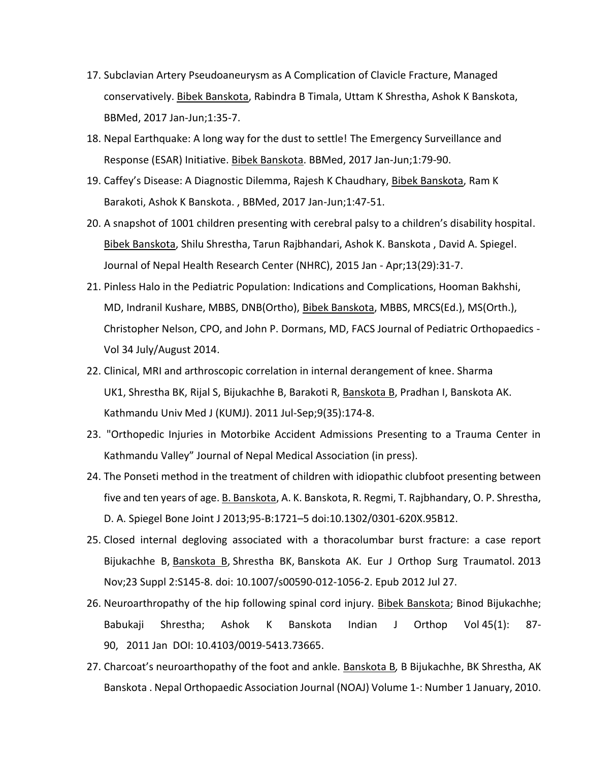- 17. Subclavian Artery Pseudoaneurysm as A Complication of Clavicle Fracture, Managed conservatively. Bibek Banskota, Rabindra B Timala, Uttam K Shrestha, Ashok K Banskota, BBMed, 2017 Jan-Jun;1:35-7.
- 18. Nepal Earthquake: A long way for the dust to settle! The Emergency Surveillance and Response (ESAR) Initiative. Bibek Banskota. BBMed, 2017 Jan-Jun;1:79-90.
- 19. Caffey's Disease: A Diagnostic Dilemma, Rajesh K Chaudhary, Bibek Banskota, Ram K Barakoti, Ashok K Banskota. , BBMed, 2017 Jan-Jun;1:47-51.
- 20. A snapshot of 1001 children presenting with cerebral palsy to a children's disability hospital. Bibek Banskota, Shilu Shrestha, Tarun Rajbhandari, Ashok K. Banskota , David A. Spiegel. Journal of Nepal Health Research Center (NHRC), 2015 Jan - Apr;13(29):31-7.
- 21. Pinless Halo in the Pediatric Population: Indications and Complications, Hooman Bakhshi, MD, Indranil Kushare, MBBS, DNB(Ortho), Bibek Banskota, MBBS, MRCS(Ed.), MS(Orth.), Christopher Nelson, CPO, and John P. Dormans, MD, FACS Journal of Pediatric Orthopaedics - Vol 34 July/August 2014.
- 22. Clinical, MRI and arthroscopic correlation in internal derangement of knee. [Sharma](http://www.ncbi.nlm.nih.gov/pubmed?term=Sharma%20UK%5BAuthor%5D&cauthor=true&cauthor_uid=22609502)  [UK1](http://www.ncbi.nlm.nih.gov/pubmed?term=Sharma%20UK%5BAuthor%5D&cauthor=true&cauthor_uid=22609502), [Shrestha BK,](http://www.ncbi.nlm.nih.gov/pubmed?term=Shrestha%20BK%5BAuthor%5D&cauthor=true&cauthor_uid=22609502) [Rijal S,](http://www.ncbi.nlm.nih.gov/pubmed?term=Rijal%20S%5BAuthor%5D&cauthor=true&cauthor_uid=22609502) [Bijukachhe B,](http://www.ncbi.nlm.nih.gov/pubmed?term=Bijukachhe%20B%5BAuthor%5D&cauthor=true&cauthor_uid=22609502) [Barakoti R,](http://www.ncbi.nlm.nih.gov/pubmed?term=Barakoti%20R%5BAuthor%5D&cauthor=true&cauthor_uid=22609502) [Banskota B,](http://www.ncbi.nlm.nih.gov/pubmed?term=Banskota%20B%5BAuthor%5D&cauthor=true&cauthor_uid=22609502) [Pradhan I,](http://www.ncbi.nlm.nih.gov/pubmed?term=Pradhan%20I%5BAuthor%5D&cauthor=true&cauthor_uid=22609502) [Banskota AK.](http://www.ncbi.nlm.nih.gov/pubmed?term=Banskota%20AK%5BAuthor%5D&cauthor=true&cauthor_uid=22609502) [Kathmandu Univ Med J \(KUMJ\).](http://www.ncbi.nlm.nih.gov/pubmed/22609502) 2011 Jul-Sep;9(35):174-8.
- 23. "Orthopedic Injuries in Motorbike Accident Admissions Presenting to a Trauma Center in Kathmandu Valley" Journal of Nepal Medical Association (in press).
- 24. The Ponseti method in the treatment of children with idiopathic clubfoot presenting between five and ten years of age. B. Banskota, A. K. Banskota, R. Regmi, T. Rajbhandary, O. P. Shrestha, D. A. Spiegel Bone Joint J 2013;95-B:1721–5 doi:10.1302/0301-620X.95B12.
- 25. Closed internal degloving associated with a thoracolumbar burst fracture: a case report [Bijukachhe B,](http://www.ncbi.nlm.nih.gov/pubmed?term=Bijukachhe%20B%5BAuthor%5D&cauthor=true&cauthor_uid=23412189) [Banskota B,](http://www.ncbi.nlm.nih.gov/pubmed?term=Banskota%20B%5BAuthor%5D&cauthor=true&cauthor_uid=23412189) [Shrestha BK,](http://www.ncbi.nlm.nih.gov/pubmed?term=Shrestha%20BK%5BAuthor%5D&cauthor=true&cauthor_uid=23412189) [Banskota AK.](http://www.ncbi.nlm.nih.gov/pubmed?term=Banskota%20AK%5BAuthor%5D&cauthor=true&cauthor_uid=23412189) [Eur J Orthop Surg Traumatol.](http://www.ncbi.nlm.nih.gov/pubmed/23412189) 2013 Nov;23 Suppl 2:S145-8. doi: 10.1007/s00590-012-1056-2. Epub 2012 Jul 27.
- 26. Neuroarthropathy of the hip following spinal cord injury. Bibek Banskota; Binod Bijukachhe; Babukaji Shrestha; Ashok K Banskota Indian J Orthop Vol 45(1): 87- 90, 2011 Jan DOI: 10.4103/0019-5413.73665.
- 27. Charcoat's neuroarthopathy of the foot and ankle. Banskota B*,* B Bijukachhe, BK Shrestha, AK Banskota . Nepal Orthopaedic Association Journal (NOAJ) Volume 1-: Number 1 January, 2010.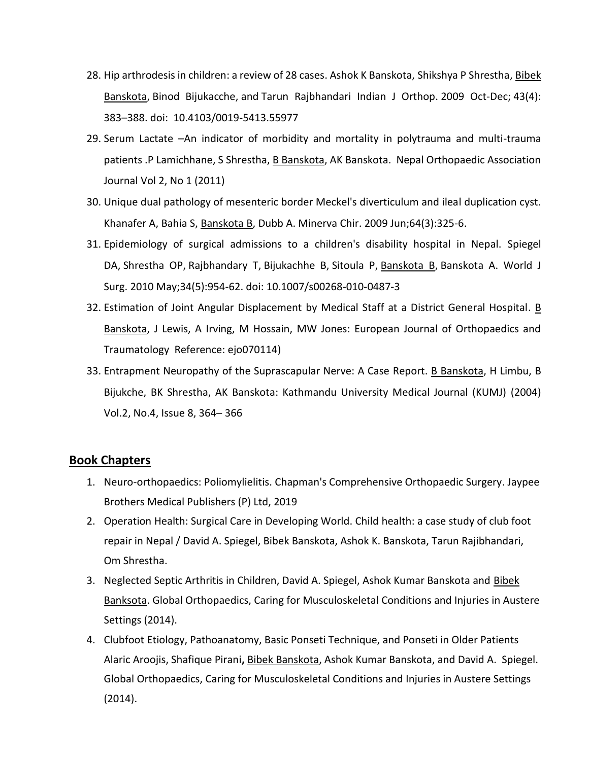- 28. Hip arthrodesis in children: a review of 28 cases. [Ashok K Banskota,](http://www.ncbi.nlm.nih.gov/pubmed/?term=Banskota%20AK%5Bauth%5D) [Shikshya P Shrestha,](http://www.ncbi.nlm.nih.gov/pubmed/?term=Shrestha%20SP%5Bauth%5D) [Bibek](http://www.ncbi.nlm.nih.gov/pubmed/?term=Banskota%20B%5Bauth%5D)  [Banskota,](http://www.ncbi.nlm.nih.gov/pubmed/?term=Banskota%20B%5Bauth%5D) [Binod Bijukacche,](http://www.ncbi.nlm.nih.gov/pubmed/?term=Bijukacche%20B%5Bauth%5D) and [Tarun Rajbhandari](http://www.ncbi.nlm.nih.gov/pubmed/?term=Rajbhandari%20T%5Bauth%5D) Indian J Orthop. 2009 Oct-Dec; 43(4): 383–388. doi: [10.4103/0019-5413.55977](http://dx.doi.org/10.4103%2F0019-5413.55977)
- 29. Serum Lactate –An indicator of morbidity and mortality in polytrauma and multi-trauma patients .P Lamichhane, S Shrestha, B Banskota, AK Banskota. [Nepal Orthopaedic Association](http://nepjol.info/index.php/NOAJ)  [Journal](http://nepjol.info/index.php/NOAJ) [Vol 2, No 1 \(2011\)](http://nepjol.info/index.php/NOAJ/issue/view/532)
- 30. Unique dual pathology of mesenteric border Meckel's diverticulum and ileal duplication cyst. [Khanafer A,](http://www.ncbi.nlm.nih.gov/pubmed?term=Khanafer%20A%5BAuthor%5D&cauthor=true&cauthor_uid=19536063) [Bahia S,](http://www.ncbi.nlm.nih.gov/pubmed?term=Bahia%20S%5BAuthor%5D&cauthor=true&cauthor_uid=19536063) [Banskota B,](http://www.ncbi.nlm.nih.gov/pubmed?term=Banskota%20B%5BAuthor%5D&cauthor=true&cauthor_uid=19536063) [Dubb A.](http://www.ncbi.nlm.nih.gov/pubmed?term=Dubb%20A%5BAuthor%5D&cauthor=true&cauthor_uid=19536063) [Minerva Chir.](http://www.ncbi.nlm.nih.gov/pubmed/19536063) 2009 Jun;64(3):325-6.
- 31. Epidemiology of surgical admissions to a children's disability hospital in Nepal. [Spiegel](http://www.ncbi.nlm.nih.gov/pubmed?term=Spiegel%20DA%5BAuthor%5D&cauthor=true&cauthor_uid=20177682)  [DA,](http://www.ncbi.nlm.nih.gov/pubmed?term=Spiegel%20DA%5BAuthor%5D&cauthor=true&cauthor_uid=20177682) [Shrestha OP,](http://www.ncbi.nlm.nih.gov/pubmed?term=Shrestha%20OP%5BAuthor%5D&cauthor=true&cauthor_uid=20177682) [Rajbhandary T,](http://www.ncbi.nlm.nih.gov/pubmed?term=Rajbhandary%20T%5BAuthor%5D&cauthor=true&cauthor_uid=20177682) [Bijukachhe B,](http://www.ncbi.nlm.nih.gov/pubmed?term=Bijukachhe%20B%5BAuthor%5D&cauthor=true&cauthor_uid=20177682) [Sitoula P,](http://www.ncbi.nlm.nih.gov/pubmed?term=Sitoula%20P%5BAuthor%5D&cauthor=true&cauthor_uid=20177682) [Banskota B,](http://www.ncbi.nlm.nih.gov/pubmed?term=Banskota%20B%5BAuthor%5D&cauthor=true&cauthor_uid=20177682) [Banskota A.](http://www.ncbi.nlm.nih.gov/pubmed?term=Banskota%20A%5BAuthor%5D&cauthor=true&cauthor_uid=20177682) [World J](http://www.ncbi.nlm.nih.gov/pubmed/20177682)  [Surg.](http://www.ncbi.nlm.nih.gov/pubmed/20177682) 2010 May;34(5):954-62. doi: 10.1007/s00268-010-0487-3
- 32. Estimation of Joint Angular Displacement by Medical Staff at a District General Hospital. B Banskota, J Lewis, A Irving, M Hossain, MW Jones: European Journal of Orthopaedics and Traumatology Reference: ejo070114)
- 33. Entrapment Neuropathy of the Suprascapular Nerve: A Case Report. B Banskota, H Limbu, B Bijukche, BK Shrestha, AK Banskota: Kathmandu University Medical Journal (KUMJ) (2004) Vol.2, No.4, Issue 8, 364– 366

#### **Book Chapters**

- 1. Neuro-orthopaedics: Poliomylielitis. Chapman's Comprehensive Orthopaedic Surgery. Jaypee Brothers Medical Publishers (P) Ltd, 2019
- 2. Operation Health: Surgical Care in Developing World. Child health: a case study of club foot repair in Nepal / David A. Spiegel, Bibek Banskota, Ashok K. Banskota, Tarun Rajibhandari, Om Shrestha.
- 3. Neglected Septic Arthritis in Children, David A. Spiegel, Ashok Kumar Banskota and Bibek Banksota. Global Orthopaedics, Caring for Musculoskeletal Conditions and Injuries in Austere Settings (2014).
- 4. Clubfoot Etiology, Pathoanatomy, Basic Ponseti Technique, and Ponseti in Older Patients Alaric Aroojis, Shafique Pirani**,** Bibek Banskota, Ashok Kumar Banskota, and David A. Spiegel. Global Orthopaedics, Caring for Musculoskeletal Conditions and Injuries in Austere Settings (2014).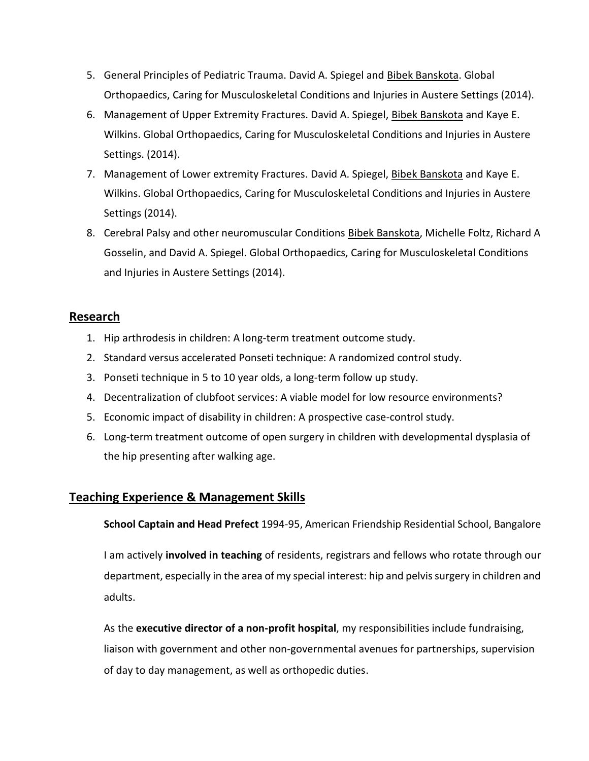- 5. General Principles of Pediatric Trauma. David A. Spiegel and Bibek Banskota. Global Orthopaedics, Caring for Musculoskeletal Conditions and Injuries in Austere Settings (2014).
- 6. Management of Upper Extremity Fractures. David A. Spiegel, Bibek Banskota and Kaye E. Wilkins. Global Orthopaedics, Caring for Musculoskeletal Conditions and Injuries in Austere Settings. (2014).
- 7. Management of Lower extremity Fractures. David A. Spiegel, Bibek Banskota and Kaye E. Wilkins. Global Orthopaedics, Caring for Musculoskeletal Conditions and Injuries in Austere Settings (2014).
- 8. Cerebral Palsy and other neuromuscular Conditions Bibek Banskota, Michelle Foltz, Richard A Gosselin, and David A. Spiegel. Global Orthopaedics, Caring for Musculoskeletal Conditions and Injuries in Austere Settings (2014).

# **Research**

- 1. Hip arthrodesis in children: A long-term treatment outcome study.
- 2. Standard versus accelerated Ponseti technique: A randomized control study.
- 3. Ponseti technique in 5 to 10 year olds, a long-term follow up study.
- 4. Decentralization of clubfoot services: A viable model for low resource environments?
- 5. Economic impact of disability in children: A prospective case-control study.
- 6. Long-term treatment outcome of open surgery in children with developmental dysplasia of the hip presenting after walking age.

### **Teaching Experience & Management Skills**

**School Captain and Head Prefect** 1994-95, American Friendship Residential School, Bangalore

I am actively **involved in teaching** of residents, registrars and fellows who rotate through our department, especially in the area of my special interest: hip and pelvis surgery in children and adults.

As the **executive director of a non-profit hospital**, my responsibilities include fundraising, liaison with government and other non-governmental avenues for partnerships, supervision of day to day management, as well as orthopedic duties.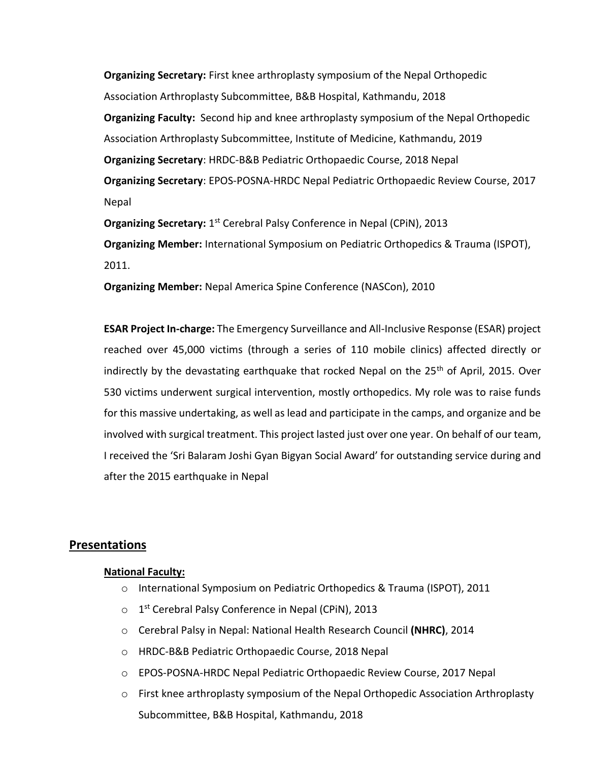**Organizing Secretary:** First knee arthroplasty symposium of the Nepal Orthopedic Association Arthroplasty Subcommittee, B&B Hospital, Kathmandu, 2018 **Organizing Faculty:** Second hip and knee arthroplasty symposium of the Nepal Orthopedic Association Arthroplasty Subcommittee, Institute of Medicine, Kathmandu, 2019 **Organizing Secretary**: HRDC-B&B Pediatric Orthopaedic Course, 2018 Nepal **Organizing Secretary**: EPOS-POSNA-HRDC Nepal Pediatric Orthopaedic Review Course, 2017 Nepal

Organizing Secretary: 1<sup>st</sup> Cerebral Palsy Conference in Nepal (CPiN), 2013 **Organizing Member:** International Symposium on Pediatric Orthopedics & Trauma (ISPOT), 2011.

**Organizing Member:** Nepal America Spine Conference (NASCon), 2010

**ESAR Project In-charge:** The Emergency Surveillance and All-Inclusive Response (ESAR) project reached over 45,000 victims (through a series of 110 mobile clinics) affected directly or indirectly by the devastating earthquake that rocked Nepal on the  $25<sup>th</sup>$  of April, 2015. Over 530 victims underwent surgical intervention, mostly orthopedics. My role was to raise funds for this massive undertaking, as well as lead and participate in the camps, and organize and be involved with surgical treatment. This project lasted just over one year. On behalf of our team, I received the 'Sri Balaram Joshi Gyan Bigyan Social Award' for outstanding service during and after the 2015 earthquake in Nepal

#### **Presentations**

#### **National Faculty:**

- o International Symposium on Pediatric Orthopedics & Trauma (ISPOT), 2011
- o 1<sup>st</sup> Cerebral Palsy Conference in Nepal (CPiN), 2013
- o Cerebral Palsy in Nepal: National Health Research Council **(NHRC)**, 2014
- o HRDC-B&B Pediatric Orthopaedic Course, 2018 Nepal
- o EPOS-POSNA-HRDC Nepal Pediatric Orthopaedic Review Course, 2017 Nepal
- $\circ$  First knee arthroplasty symposium of the Nepal Orthopedic Association Arthroplasty Subcommittee, B&B Hospital, Kathmandu, 2018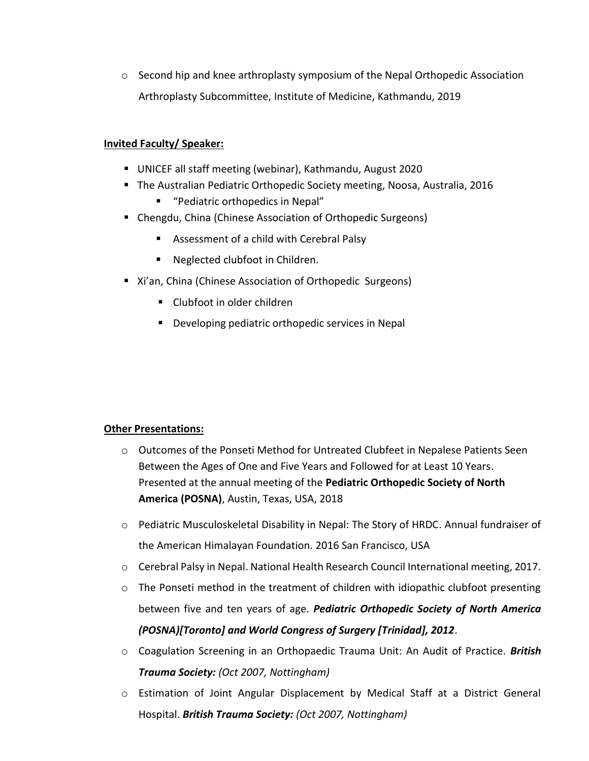$\circ$  Second hip and knee arthroplasty symposium of the Nepal Orthopedic Association Arthroplasty Subcommittee, Institute of Medicine, Kathmandu, 2019

#### **Invited Faculty/ Speaker:**

- UNICEF all staff meeting (webinar), Kathmandu, August 2020
- The Australian Pediatric Orthopedic Society meeting, Noosa, Australia, 2016
	- "Pediatric orthopedics in Nepal"
- Chengdu, China (Chinese Association of Orthopedic Surgeons)
	- Assessment of a child with Cerebral Palsy
	- Neglected clubfoot in Children.
- Xi'an, China (Chinese Association of Orthopedic Surgeons)
	- Clubfoot in older children
	- Developing pediatric orthopedic services in Nepal

#### **Other Presentations:**

- o Outcomes of the Ponseti Method for Untreated Clubfeet in Nepalese Patients Seen Between the Ages of One and Five Years and Followed for at Least 10 Years. Presented at the annual meeting of the **Pediatric Orthopedic Society of North America (POSNA)**, Austin, Texas, USA, 2018
- o Pediatric Musculoskeletal Disability in Nepal: The Story of HRDC. Annual fundraiser of the American Himalayan Foundation. 2016 San Francisco, USA
- o Cerebral Palsy in Nepal. National Health Research Council International meeting, 2017.
- $\circ$  The Ponseti method in the treatment of children with idiopathic clubfoot presenting between five and ten years of age. *Pediatric Orthopedic Society of North America (POSNA)[Toronto] and World Congress of Surgery [Trinidad], 2012*.
- o Coagulation Screening in an Orthopaedic Trauma Unit: An Audit of Practice. *British Trauma Society: (Oct 2007, Nottingham)*
- o Estimation of Joint Angular Displacement by Medical Staff at a District General Hospital. *British Trauma Society: (Oct 2007, Nottingham)*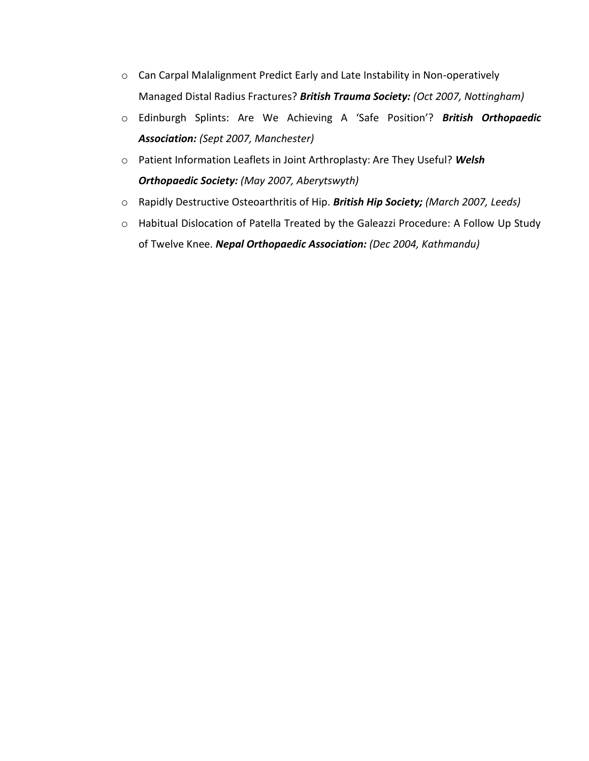- o Can Carpal Malalignment Predict Early and Late Instability in Non-operatively Managed Distal Radius Fractures? *British Trauma Society: (Oct 2007, Nottingham)*
- o Edinburgh Splints: Are We Achieving A 'Safe Position'? *British Orthopaedic Association: (Sept 2007, Manchester)*
- o Patient Information Leaflets in Joint Arthroplasty: Are They Useful? *Welsh Orthopaedic Society: (May 2007, Aberytswyth)*
- o Rapidly Destructive Osteoarthritis of Hip. *British Hip Society; (March 2007, Leeds)*
- o Habitual Dislocation of Patella Treated by the Galeazzi Procedure: A Follow Up Study of Twelve Knee. *Nepal Orthopaedic Association: (Dec 2004, Kathmandu)*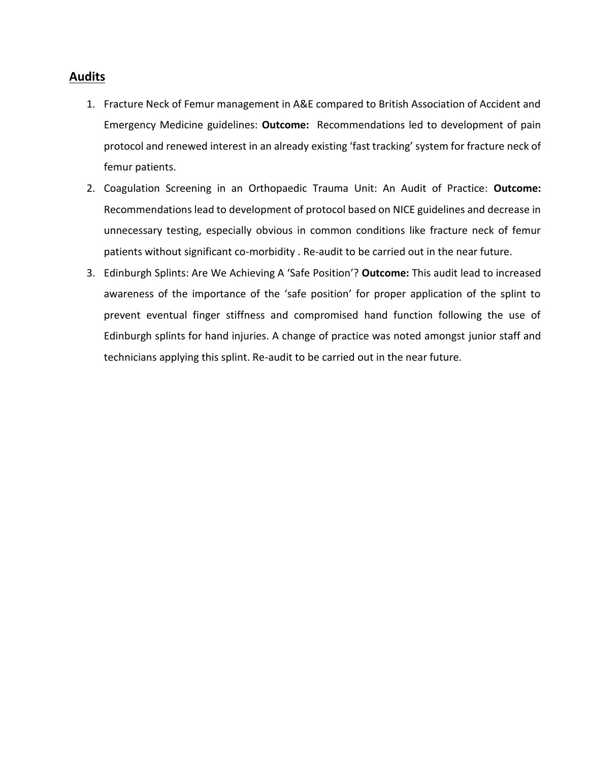#### **Audits**

- 1. Fracture Neck of Femur management in A&E compared to British Association of Accident and Emergency Medicine guidelines: **Outcome:** Recommendations led to development of pain protocol and renewed interest in an already existing 'fast tracking' system for fracture neck of femur patients.
- 2. Coagulation Screening in an Orthopaedic Trauma Unit: An Audit of Practice: **Outcome:** Recommendations lead to development of protocol based on NICE guidelines and decrease in unnecessary testing, especially obvious in common conditions like fracture neck of femur patients without significant co-morbidity . Re-audit to be carried out in the near future.
- 3. Edinburgh Splints: Are We Achieving A 'Safe Position'? **Outcome:** This audit lead to increased awareness of the importance of the 'safe position' for proper application of the splint to prevent eventual finger stiffness and compromised hand function following the use of Edinburgh splints for hand injuries. A change of practice was noted amongst junior staff and technicians applying this splint. Re-audit to be carried out in the near future.